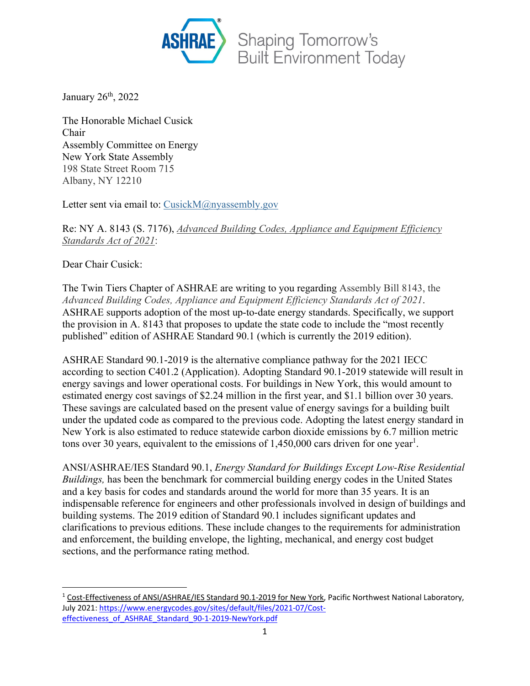

January  $26<sup>th</sup>$ , 2022

The Honorable Michael Cusick Chair Assembly Committee on Energy New York State Assembly 198 State Street Room 715 Albany, NY 12210

Letter sent via email to: CusickM@nyassembly.gov

Re: NY A. 8143 (S. 7176), *Advanced Building Codes, Appliance and Equipment Efficiency Standards Act of 2021*:

Dear Chair Cusick:

The Twin Tiers Chapter of ASHRAE are writing to you regarding Assembly Bill 8143, the *Advanced Building Codes, Appliance and Equipment Efficiency Standards Act of 2021*. ASHRAE supports adoption of the most up-to-date energy standards. Specifically, we support the provision in A. 8143 that proposes to update the state code to include the "most recently published" edition of ASHRAE Standard 90.1 (which is currently the 2019 edition).

ASHRAE Standard 90.1-2019 is the alternative compliance pathway for the 2021 IECC according to section C401.2 (Application). Adopting Standard 90.1-2019 statewide will result in energy savings and lower operational costs. For buildings in New York, this would amount to estimated energy cost savings of \$2.24 million in the first year, and \$1.1 billion over 30 years. These savings are calculated based on the present value of energy savings for a building built under the updated code as compared to the previous code. Adopting the latest energy standard in New York is also estimated to reduce statewide carbon dioxide emissions by 6.7 million metric tons over 30 years, equivalent to the emissions of  $1,450,000$  cars driven for one year<sup>1</sup>.

ANSI/ASHRAE/IES Standard 90.1, *Energy Standard for Buildings Except Low-Rise Residential Buildings,* has been the benchmark for commercial building energy codes in the United States and a key basis for codes and standards around the world for more than 35 years. It is an indispensable reference for engineers and other professionals involved in design of buildings and building systems. The 2019 edition of Standard 90.1 includes significant updates and clarifications to previous editions. These include changes to the requirements for administration and enforcement, the building envelope, the lighting, mechanical, and energy cost budget sections, and the performance rating method.

<sup>1</sup> Cost‐Effectiveness of ANSI/ASHRAE/IES Standard 90.1‐2019 for New York, Pacific Northwest National Laboratory, July 2021: https://www.energycodes.gov/sites/default/files/2021‐07/Cost‐ effectiveness\_of\_ASHRAE\_Standard\_90-1-2019-NewYork.pdf